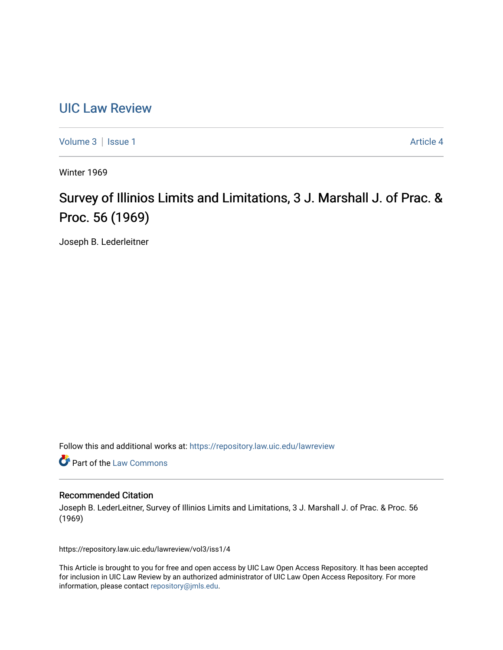# [UIC Law Review](https://repository.law.uic.edu/lawreview)

[Volume 3](https://repository.law.uic.edu/lawreview/vol3) | [Issue 1](https://repository.law.uic.edu/lawreview/vol3/iss1) Article 4

Winter 1969

# Survey of Illinios Limits and Limitations, 3 J. Marshall J. of Prac. & Proc. 56 (1969)

Joseph B. Lederleitner

Follow this and additional works at: [https://repository.law.uic.edu/lawreview](https://repository.law.uic.edu/lawreview?utm_source=repository.law.uic.edu%2Flawreview%2Fvol3%2Fiss1%2F4&utm_medium=PDF&utm_campaign=PDFCoverPages) 

Part of the [Law Commons](http://network.bepress.com/hgg/discipline/578?utm_source=repository.law.uic.edu%2Flawreview%2Fvol3%2Fiss1%2F4&utm_medium=PDF&utm_campaign=PDFCoverPages)

### Recommended Citation

Joseph B. LederLeitner, Survey of Illinios Limits and Limitations, 3 J. Marshall J. of Prac. & Proc. 56 (1969)

https://repository.law.uic.edu/lawreview/vol3/iss1/4

This Article is brought to you for free and open access by UIC Law Open Access Repository. It has been accepted for inclusion in UIC Law Review by an authorized administrator of UIC Law Open Access Repository. For more information, please contact [repository@jmls.edu.](mailto:repository@jmls.edu)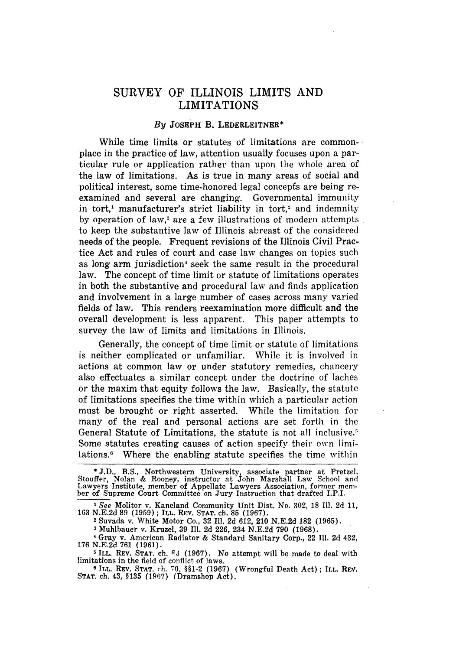## SURVEY OF ILLINOIS LIMITS **AND** LIMITATIONS

#### **By JOSEPH** B. **LEDERLEITNER\***

While time limits or statutes of limitations are commonplace in the practice of law, attention usually focuses upon a particular rule or application rather than upon the whole area of the law of limitations. As is true in many areas of social and political interest, some time-honored legal concepfs are being reexamined and several are changing. Governmental immunity in tort,<sup>1</sup> manufacturer's strict liability in tort,<sup>2</sup> and indemnity by operation of law,<sup>3</sup> are a few illustrations of modern attempts. to keep the substantive law of Illinois abreast of the considered needs of the people. Frequent revisions of the Illinois Civil Practice Act and rules of court and case law changes on topics such as long arm jurisdiction<sup>4</sup> seek the same result in the procedural law. The concept of time limit or statute of limitations operates in both the substantive and procedural law and finds application and involvement in a large number of cases across many varied fields of law. This renders reexamination more difficult and the overall development is less apparent. This paper attempts to survey the law of limits and limitations in Illinois.

Generally, the concept of time limit or statute of limitations is neither complicated or unfamiliar. While it is involved in actions at common law or under statutory remedies, chancery also effectuates a similar concept under the doctrine of laches or the maxim that equity follows the law. Basically, the statute of limitations specifies the time within which a particular action must be brought or right asserted. While the limitation for many of the real and personal actions are set forth in the General Statute of Limitations, the statute is not all inclusive.<sup>5</sup> Some statutes creating causes of action specify their own limitations.6 Where the enabling statute specifies the time within

*<sup>I</sup>See* Molitor v. Kaneland Community Unit Dist. No. 302, 18 Il. 2d 11, 163 N.E.2d **89** (1959) ; ILL. REV. STAT. ch. **85** (1967).

**<sup>2</sup>**Suvada v. White Motor Co., 32 Ill. 2d 612, 210 N.E.2d **182** (1965).

**3** Muhlbauer v. Kruzel, 39 Ill. 2d 226, 234 N.E.2d 790 (1968).

**<sup>\*</sup>** J.D., B.S., Northwestern University, associate partner at Pretzel, Stouffer, Nolan & Rooney, instructor at John Marshall Law School and Lawyers Institute, member of Appellate Lawyers Association, former mem- ber of Supreme Court Committee on Jury Instruction that drafted I.P.I.

**<sup>4</sup>** Gray v. American Radiator & Standard Sanitary Corp., 22 Ill. 2d 432, 176 N.E.2d 761 (1961).

<sup>&</sup>lt;sup>5</sup> ILL. REV. STAT. ch. **83** (1967). No attempt will be made to deal with limitations in the field of conflict of laws.

**<sup>6</sup>**ILL. REV. **STAT.** ch. 70, §§1-2 (1967) (Wrongful Death Act); ILL. REV. **STAT.** ch. 43, **§135 (1967)** (Dramshop Act).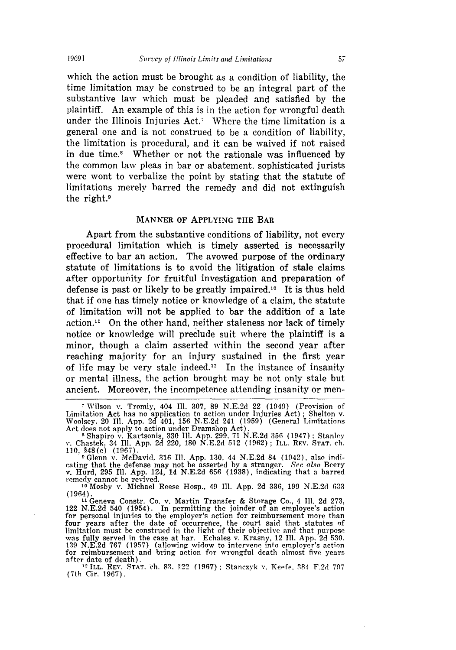which the action must be brought as a condition of liability, the time limitation may be construed to be an integral part of the substantive law which must be pleaded and satisfied by the plaintiff. An example of this is in the action for wrongful death under the Illinois Injuries  $Act.7$  Where the time limitation is a general one and is not construed to be a condition of liability, the limitation is procedural, and it can be waived if not raised in due time.8 Whether or not the rationale was influenced by the common law pleas in bar or abatement, sophisticated jurists were wont to verbalize the point by stating that the statute of limitations merely barred the remedy and did not extinguish the right.9

#### **MANNER** OF APPLYING THE BAR

Apart from the substantive conditions of liability, not every procedural limitation which is timely asserted is necessarily effective to bar an action. The avowed purpose of the ordinary statute of limitations is to avoid the litigation of stale claims after opportunity for fruitful investigation and preparation of defense is past or likely to be greatly impaired.1° It is thus held that if one has timely notice or knowledge of a claim, the statute of limitation will not be applied to bar the addition of a late  $action<sup>11</sup>$  On the other hand, neither staleness nor lack of timely notice or knowledge will preclude suit where the plaintiff is a minor, though a claim asserted within the second year after reaching majority for an injury sustained in the first year of life may be very stale indeed.<sup>12</sup> In the instance of insanity or mental illness, the action brought may be not only stale but ancient. Moreover, the incompetence attending insanity or men-

cating that the defense may not be asserted by a stranger. *Sec, also Beery*<br>cating that the defense may not be asserted by a stranger. *Sec, also Beery* v. Hurd, 295 **I1.** App. 124, 14 N.E.2d 656 (1938), indicating that a barred remedy cannot be revived.

**<sup>10</sup>**Mosby v. Michael Reese Hosp., 49 Ill. App. 2d 336, 199 N.E.2d **633** (1964).

**<sup>11</sup>**Geneva Constr. Co. v. Martin Transfer & Storage Co., 4 Ill. 2d 273, 122 N.E.2d 540 (1954). In permitting the joinder of an employee's action for personal injuries to the employer's action for reimbursement more than four years after the date of occurrence, the court said that statutes **of** limitation must be construed in the light of their objective and that purpose was fully served in the case at bar. Echales v. Krasny, 12 **I1.** App. 2d **530.** 1319 N.E.2d 767 (1957) (allowing widow to intervene into employer's action for reimbursement and bring action for wrongful death almost five years after date of death).

<sup>12</sup> ILL. REV. STAT. ch. 83, §22 (1967); Stanczyk v. Keefe, 384 F.2d 707 (7th Cir. 1967).

**<sup>7</sup>**Wilson v. Tromly, 404 **111.** 307, 89 N.E.2d 22 (1949) (Provision of Limitation Act has no application to action under Injuries Act) **;** Shelton v. Woolsey, 20 **11.** App. 2d 401, 156 N.E.2d 241 (1959) (General Limitations Act does not apply to action under Dramshop Act).<br>
<sup>8</sup> Shapiro v. Kartsonis, 330 Ill. App. 299. 71 N.E.2d 356 (1947) ; Stanley

v. Chastek, 34 Ill. App. 2d 220, 180 N.E.2d 512 (1962) **;** ILL. REV. **STAT.** ch. 110, §48(e) (1967). **0** Glenn v. McDavid. 316 Ill. App. 130, 44 N.E.2d 84 (1942), also indi-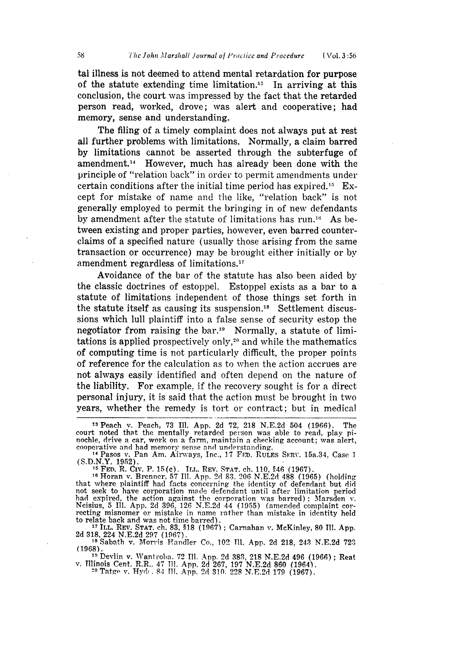tal illness is not deemed to attend mental retardation for purpose of the statute extending time limitation.<sup>13</sup> In arriving at this conclusion, the court was impressed by the fact that the retarded person read, worked, drove; was alert and cooperative; had memory, sense and understanding.

The filing of a timely complaint does not always put at rest all further problems with limitations. Normally, a claim barred by limitations cannot be asserted through the subterfuge of amendment.14 However, much has already been done with the principle of "relation back" in order to permit amendments under certain conditions after the initial time period has expired.<sup>15</sup> Except for mistake of name and the like, "relation back" is not generally employed to permit the bringing in of new defendants by amendment after the statute of limitations has run.<sup>16</sup> As between existing and proper parties, however, even barred counterclaims of a specified nature (usually those arising from the same transaction or occurrence) may be brought either initially or by amendment regardless of limitations.17

Avoidance of the bar of the statute has also been aided by the classic doctrines of estoppel. Estoppel exists as a bar to a statute of limitations independent of those things set forth in the statute itself as causing its suspension.<sup>18</sup> Settlement discussions which lull plaintiff into a false sense of security estop the negotiator from raising the bar.<sup>19</sup> Normally, a statute of limitations is applied prospectively only, 2° and while the mathematics of computing time is not particularly difficult, the proper points of reference for the calculation as to when the action accrues are not always easily identified and often depend on the nature of the liability. For example. if the recovery sought is for a direct personal injury, it is said that the action must be brought in two years, whether the remedy is tort or contract; but in medical

**<sup>16</sup>**Horan v. Brenner, 57 **I1.** App. 2d **83, 206** N.E.2d 488 (1965) (holding that where plaintiff had facts concerning the identity of defendant but did not seek to have corporation made defendant until after limitation period<br>had expired, the action against the corporation was barred); Marsden v.<br>Neisius, 5 Ill. App. 2d 396, 126 N.E.2d 44 (1955) (amended complaint cor-<br>re to relate back and was not time barred).

**<sup>17</sup>**ILL. REV. **STAT.** ch. 83, **§18** (1967) ; Carnahan v. McKinley, 80 **I1.** App. 2d 318. 224 N.E.2d 297 (1967). **,IS** Sabath v. Morris Handler Co., 102 IH. App. 2d 218. 243 N.E.2d 723

(1968).

<sup>119</sup> Devlin v. Wantroba. 72 Ill. App. 2d 383, 218 N.E.2d 496 (1966); Reat v. Illinois Cent. R.R., 47 Ill. App. 2d 267, 197 N.E.2d 860 (1964).<br><sup>20</sup> Tatge v. Hyde. 84 Ill. App. 2d 310, 228 N.E.2d 179 (1967).

**<sup>13</sup>**Peach v. Peach, 73 Ill. App. 2d **72,** 218 N.E.2d 504 (1966). The court noted that the mentally retarded person was able to read, play pi- nochle, drive a car, work on a farm, maintain a checking account; was alert, cooperative and had memory sense and understanding.

**<sup>14</sup>** Pasos v. Pan Am. Airways, Inc., 17 FrD. RULES SERV. 15a.34, Case 1<br>
(S.D.N.Y. 1952). (S.D.N.Y. 1952). **<sup>15</sup>**FED. R. Civ. P. 15(c). ILL. REV. **STAT.** ch. 110, §46 (1967).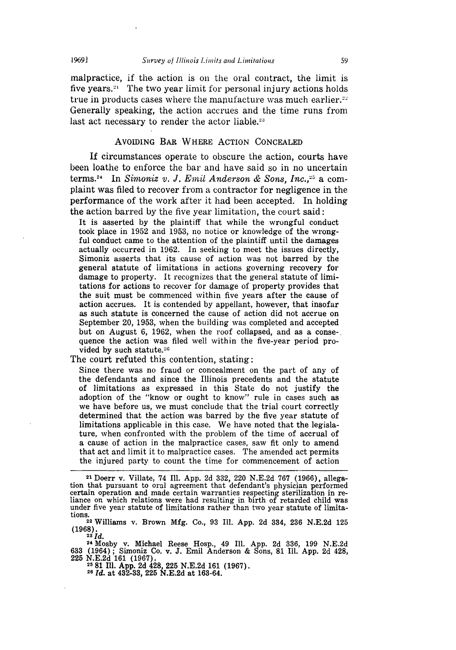malpractice, if the action is on the oral contract, the limit is five years. $21$  The two year limit for personal injury actions holds true in products cases where the manufacture was much earlier. $22$ Generally speaking, the action accrues and the time runs from last act necessary to render the actor liable. $23$ 

#### AvomING **BAR** WHERE ACTION **CONCEALED**

If circumstances operate to obscure the action, courts have been loathe to enforce the bar and have said so in no uncertain terms.<sup>24</sup> In *Simoniz v. J. Emil Anderson & Sons, Inc.*,<sup>25</sup> a complaint was filed to recover from a contractor for negligence in the performance of the work after it had been accepted. In holding the action barred by the five year limitation, the court said:

It is asserted by the plaintiff that while the wrongful conduct took place in 1952 and 1953, no notice or knowledge of the wrongful conduct came to the attention of the plaintiff until the damages actually occurred in 1962. In seeking to meet the issues directly, Simoniz asserts that its cause of action was not barred by the general statute of limitations in actions governing recovery for damage to property. It recognizes that the general statute of limitations for actions to recover for damage of property provides that the suit must be commenced within five years after the cause of action accrues. It is contended by appellant, however, that insofar as such statute is concerned the cause of action did not accrue on September 20, 1953, when the building was completed and accepted but on August 6, 1962, when the roof collapsed, and as a consequence the action was filed well within the five-year period provided by such statute.<sup>26</sup>

The court refuted this contention, stating:

Since there was no fraud or concealment on the part of any of the defendants and since the Illinois precedents and the statute of limitations as expressed in this State do not justify the adoption of the "know or ought to know" rule in cases such as we have before us, we must conclude that the trial court correctly determined that the action was barred by the five year statute of limitations applicable in this case. We have noted that the legislature, when confronted with the problem of the time of accrual of a cause of action in the malpractice cases, saw fit only to amend that act and limit it to malpractice cases. The amended act permits the injured party to count the time for commencement of action

**<sup>24</sup>**Mosby v. Michael Reese Hosp., 49 Ill. **App. 2d 336, 199 N.E.2d 633** (1964); Simoniz Co. v. **J.** Emil Anderson **&** Sons, **81 Ill. App. 2d** 428, **<sup>225</sup>N.E.2d 161 (1967). <sup>25</sup>81** Ill. **App. 2d** 428, 225 **N.E.2d 161 (1967).**

**26** *Id.* at 432-33, **225 N.E.2d** at **163-64.**

**<sup>21</sup>** Doerr v. Villate, 74 Ill. App. 2d 332, 220 N.E.2d 767 (1966), allegation that pursuant to oral agreement that defendant's physician performed<br>certain operation and made certain warranties respecting sterilization in re-<br>liance on which relations were had resulting in birth of retarded chil under five year statute of limitations rather than two year statute of limitations.<br><sup>22</sup> Williams v. Brown Mfg. Co., 93 Ill. App. 2d 334, 236 N.E.2d 125

 $(1968)$ .<br><sup>23</sup>*Id.*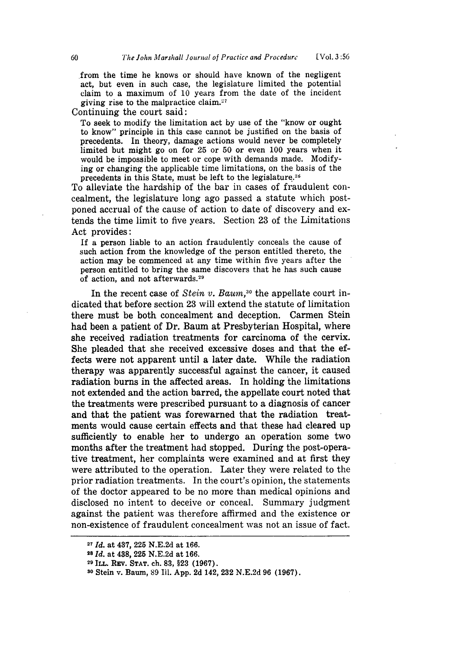from the time he knows or should have known of the negligent act, but even in such case, the legislature limited the potential claim to a maximum of 10 years from the date of the incident giving rise to the malpractice claim. $27$ 

Continuing the court said:

To seek to modify the limitation act by use of the "know or ought to know" principle in this case cannot be justified on the basis of precedents. In theory, damage actions would never be completely limited but might go on for 25 or 50 or even 100 years when it would be impossible to meet or cope with demands made. Modifying or changing the applicable time limitations, on the basis of the precedents in this State, must be left to the legislature.<sup>26</sup>

To alleviate the hardship of the bar in cases of fraudulent concealment, the legislature long ago passed a statute which postponed accrual of the cause of action to date of discovery and extends the time limit to five years. Section 23 of the Limitations Act provides:

**If** a person liable to an action fraudulently conceals the cause of such action from the knowledge of the person entitled thereto, the action may be commenced at any time within five years after the person entitled to bring the same discovers that he has such cause of action, and not afterwards.<sup>29</sup>

In the recent case of *Stein v. Baum,3°* the appellate court indicated that before section 23 will extend the statute of limitation there must be both concealment and deception. Carmen Stein had been a patient of Dr. Baum at Presbyterian Hospital, where she received radiation treatments for carcinoma of the cervix. She pleaded that she received excessive doses and that the effects were not apparent until a later date. While the radiation therapy was apparently successful against the cancer, it caused radiation burns in the affected areas. In holding the limitations not extended and the action barred, the appellate court noted that the treatments were prescribed pursuant to a diagnosis of cancer and that the patient was forewarned that the radiation treatments would cause certain effects and that these had cleared up sufficiently to enable her to undergo an operation some two months after the treatment had stopped. During the post-operative treatment, her complaints were examined and at first they were attributed to the operation. Later they were related to the prior radiation treatments. In the court's opinion, the statements of the doctor appeared to be no more than medical opinions and disclosed no intent to deceive or conceal. Summary judgment against the patient was therefore affirmed and the existence or non-existence of fraudulent concealment was not an issue of fact.

**<sup>27</sup>***Id.* at 437, **225** N.E.2d at **166.**

<sup>28</sup>*Id.* at 438, **225** N.E.2d at 166.

**<sup>29</sup>**ILL. Rzy. **STAT.** ch. **83, §23** (1967).

**<sup>30</sup>**Stein v. Baum, **89 I1. App. 2d** 142, **232 N.E.2d 96 (1967).**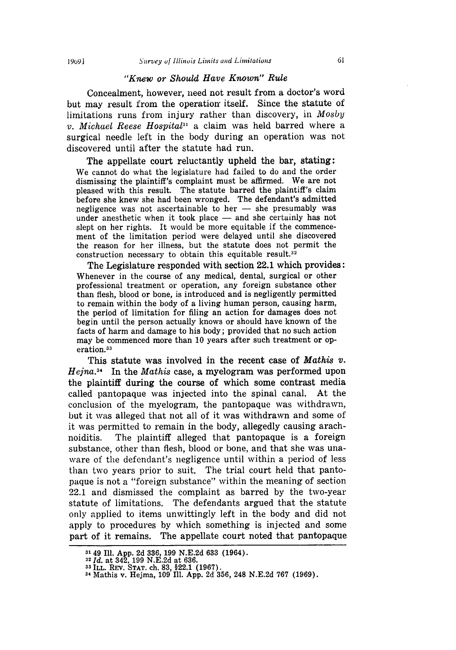#### *"Knew or Should Have Known" Rule*

Concealment, however, need not result from a doctor's word but may result from the operation itself. Since the statute of limitations runs from injury rather than discovery, in *Mosby v. Michael Reese Hospital*<sup>31</sup> a claim was held barred where a surgical needle left in the body during an operation was not discovered until after the statute had run.

The appellate court reluctantly upheld the bar, stating: We cannot do what the legislature had failed to do and the order dismissing the plaintiff's complaint must be affirmed. We are not pleased with this result. The statute barred the plaintiff's claim before she knew she had been wronged. The defendant's admitted negligence was not ascertainable to her  $-$  she presumably was under anesthetic when it took place - and she certainly has not slept on her rights. It would be more equitable if the commencement of the limitation period were delayed until she discovered the reason for her illness, but the statute does not permit the construction necessary to obtain this equitable result.<sup>32</sup>

The Legislature responded with section 22.1 which provides: Whenever in the course of any medical, dental, surgical or other professional treatment or operation, any foreign substance other than flesh, blood or bone, is introduced and is negligently permitted to remain within the body of a living human person, causing harm, the period of limitation for filing an action for damages does not begin until the person actually knows or should have known of the facts of harm and damage to his body; provided that no such action may be commenced more than **10** years after such treatment or operation.<sup>33</sup>

This statute was involved in the recent case of *Mathis v. Hejna . 3 <sup>4</sup>*In the *Mathis* case, a myelogram was performed upon the plaintiff during the course of which some contrast media called pantopaque was injected into the spinal canal. At the conclusion of the myelogram, the pantopaque was withdrawn, but it was alleged that not all of it was withdrawn and some of it was permitted to remain in the body, allegedly causing arachnoiditis. The plaintiff alleged that pantopaque is a foreign substance, other than flesh, blood or bone, and that she was unaware of the defendant's negligence until within a period of less than two years prior to suit. The trial court held that pantopaque is not a "foreign substance" within the meaning of section 22.1 and dismissed the complaint as barred by the two-year statute of limitations. The defendants argued that the statute only applied to items unwittingly left in the body and did not apply to procedures by which something is injected and some part of it remains. The appellate court noted that pantopaque

<sup>&</sup>lt;sup>31</sup> 49 Ill. App. 2d 336, 199 N.E.2d 633 (1964).<br><sup>32</sup> Id. at 342, 199 N.E.2d at 636.<br><sup>33</sup> ILL. REV. STAT. ch. 83, §22.1 (1967).<br><sup>34</sup> Mathis v. Heima, 109 Ill. App. 2d 356, 248 N.E.2d 767 (1969)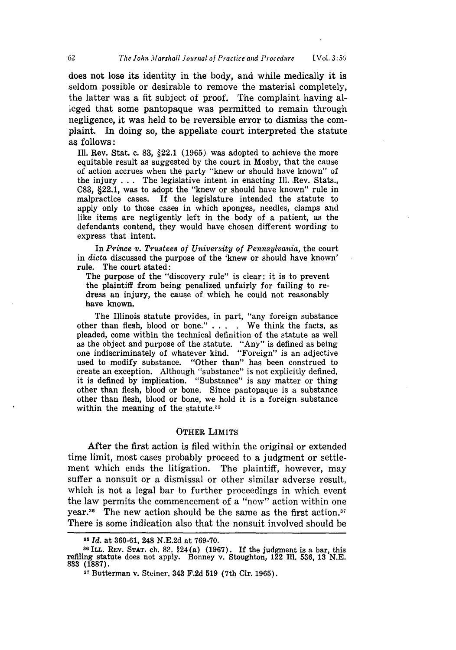does not lose its identity in the body, and while medically it is seldom possible or desirable to remove the material completely, the latter was a fit subject of proof. The complaint having alleged that some pantopaque was permitted to remain through negligence, it was held to be reversible error to dismiss the complaint. In doing so, the appellate court interpreted the statute as follows:

Ill. Rev. Stat. c. **83,** §22.1 **(1965)** was adopted to achieve the more equitable result as suggested **by** the court in Mosby, that the cause of action accrues when the party "knew or should have known" of the injury **. . .** The legislative intent in enacting Ill. Rev. Stats., **C83,** §22.1, was to adopt the "knew or should have known" rule in malpractice cases. If the legislature intended the statute to apply only to those cases in which sponges, needles, clamps and like items are negligently left in the body of a patient, as the defendants contend, they would have chosen different wording to express that intent.

In *Prince v. Trustees of University of Pennsylvania,* the court in *dicta* discussed the purpose of the 'knew or should have known' rule. The court stated:

The purpose of the "discovery rule" is clear: it is to prevent the plaintiff from being penalized unfairly for failing to redress an injury, the cause of which he could not reasonably have known.

The Illinois statute provides, in part, "any foreign substance other than flesh, blood or bone." **. . . .** We think the facts, as pleaded, come within the technical definition of the statute as well as the object and purpose of the statute. "Any" is defined as being one indiscriminately of whatever kind. "Foreign" is an adjective used to modify substance. "Other than" has been construed to create an exception. Although "substance" is not explicitly defined, it is defined **by** implication. "Substance" is any matter or thing other than flesh, blood or bone. Since pantopaque is a substance other than flesh, blood or bone, we hold it is a foreign substance within the meaning of the statute. $35$ 

#### OTHER LIMITS

After the first action is filed within the original or extended time limit, most cases probably proceed to a judgment or settlement which ends the litigation. The plaintiff, however, may suffer a nonsuit or a dismissal or other similar adverse result, which is not a legal bar to further proceedings in which event the law permits the commencement of a "new" action within one year.<sup>36</sup> The new action should be the same as the first action.<sup>37</sup> There is some indication also that the nonsuit involved should be

*<sup>85</sup> Id.* at **360-61,** 248 **N.E.2d** at **769-70.**

**<sup>38</sup>** ILL. REv. **STAT.** ch. **82.** §24 (a) **(1967). If** the judgment is a bar, this refiling statute does not apply. Bonney v. Stoughton, **122 11.** 536, **13 N.E. 833 (1887).**

**<sup>37</sup>**Butterman v. Steiner, 343 **F.2d 519** (7th Cir. **1965).**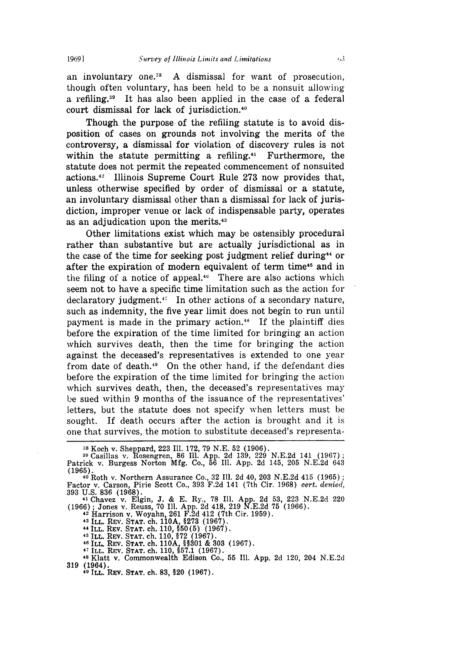an involuntary one.<sup>38</sup>  $\Lambda$  dismissal for want of prosecution, though often voluntary, has been held to be a nonsuit allowing a refiling.<sup>39</sup> It has also been applied in the case of a federal court dismissal for lack of jurisdiction.<sup>40</sup>

Though the purpose of the refiling statute is to avoid disposition of cases on grounds not involving the merits of the controversy, a dismissal for violation of discovery rules is not within the statute permitting a refiling. $41$  Furthermore, the statute does not permit the repeated commencement of nonsuited actions.42 Illinois Supreme Court Rule 273 now provides that, unless otherwise specified by order of dismissal or a statute, an involuntary dismissal other than a dismissal for lack of jurisdiction, improper venue or lack of indispensable party, operates as an adjudication upon the merits.<sup>43</sup>

Other limitations exist which may be ostensibly procedural rather than substantive but are actually jurisdictional as in the case of the time for seeking post judgment relief during<sup>44</sup> or after the expiration of modern equivalent of term time<sup>45</sup> and in the filing of a notice of appeal.<sup>46</sup> There are also actions which seem not to have a specific time limitation such as the action for  $\alpha$  declaratory judgment.<sup>47</sup> In other actions of a secondary nature, such as indemnity, the five year limit does not begin to run until payment is made in the primary action.<sup>48</sup> If the plaintiff dies before the expiration of the time limited for bringing an action which survives death, then the time for bringing the action against the deceased's representatives is extended to one year from date of death.<sup>49</sup> On the other hand, if the defendant dies before the expiration of the time limited for bringing the action which survives death, then, the deceased's representatives may be sued within 9 months of the issuance of the representatives' letters, but the statute does not specify when letters must be sought. If death occurs after the action is brought and it is one that survives, the motion to substitute deceased's representa-

41 Chavez v. Elgin, J. & E. Ry., 78 Ill. App. 2d 53, 223 N.E.2d 220 (1966); Jones v. Reuss, 70 Ill. App. 2d 418, 219 N.E.2d 75 (1966)<br>
<sup>42</sup> Harrison v. Woyahn, 261 F.2d 412 (7th Cir. 1959).<br>
<sup>43</sup> ILL. REV. STAT. ch. 110A, §273 (1967).<br>
<sup>44</sup> ILL. REV. STAT. ch. 110. §50(5) (1967).

**<sup>45</sup>**ILL. REV. **STAT.** ch. **110, §72 (1967).**

<sup>46</sup>ILL. REV. **STAT.** ch. **110A §§301** & **303 (1967). 47 ILL.** REV. **STAT. ch. 110, 57.1 (1967).**

**<sup>48</sup>**Klatt v. Commonwealth Edison Co., **55 11. App. 2d** 120, 204 **N.E.2d 319** (1964).

**49 ILL. REV. STAT. ch. 83, §20 (1967).**

**<sup>8</sup>** Koch v. Sheppard, 223 Ill. 172, 79 N.E. 52 (1906).

**<sup>39</sup>**Casillas v. Rosengren, 86 Il. App. 2d 139, 229 N.E.2d 141 (1967) Patrick v. Burgess Norton Mfg. Co., 56 Ill. App. 2d 145, 205 N.E.2d 643 (1965).

**<sup>40</sup>**Roth v. Northern Assurance Co., 32 **11.** 2d 40, 203 N.E.2d 415 (1965) Factor v. Carson, Pirie Scott Co., 393 F.2d 141 (7th Cir. 1968) *cert. denied,* 393 U.S. 836 (1968).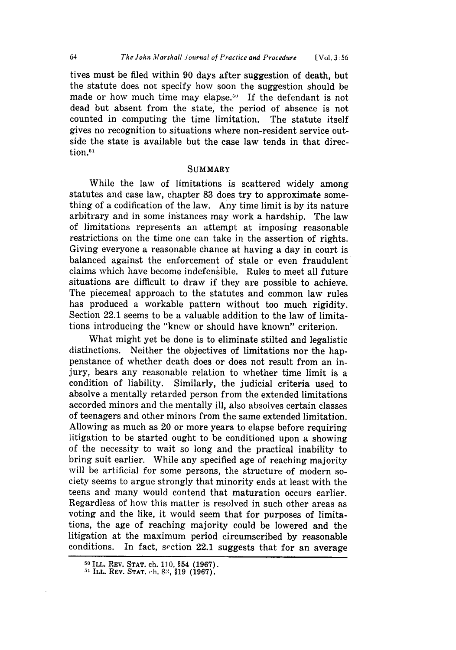tives must be filed within 90 days after suggestion of death, but the statute does not specify how soon the suggestion should be made or how much time may elapse.<sup>50</sup> If the defendant is not dead but absent from the state, the period of absence is not counted in computing the time limitation. The statute itself gives no recognition to situations where non-resident service outside the state is available but the case law tends in that direction.<sup>51</sup>

#### **SUMMARY**

While the law of limitations is scattered widely among statutes and case law, chapter **83** does try to approximate something of a codification of the law. Any time limit is by its nature arbitrary and in some instances may work a hardship. The law of limitations represents an attempt at imposing reasonable restrictions on the time one can take in the assertion of rights. Giving everyone a reasonable chance at having a day in court is balanced against the enforcement of stale or even fraudulent claims which have become indefensible. Rules to meet all future situations are difficult to draw if they are possible to achieve. The piecemeal approach to the statutes and common law rules has produced a workable pattern without too much rigidity. Section 22.1 seems to be a valuable addition to the law of limitations introducing the "knew or should have known" criterion.

What might yet be done is to eliminate stilted and legalistic distinctions. Neither the objectives of limitations nor the happenstance of whether death does or does not result from an injury, bears any reasonable relation to whether time limit is a condition of liability. Similarly, the judicial criteria used to absolve a mentally retarded person from the extended limitations accorded minors and the mentally ill, also absolves certain classes of teenagers and other minors from the same extended limitation. Allowing as much as 20 or more years to elapse before requiring litigation to be started ought to be conditioned upon a showing of the necessity to wait so long and the practical inability to bring suit earlier. While any specified age of reaching majority will be artificial for some persons, the structure of modern society seems to argue strongly that minority ends at least with the teens and many would contend that maturation occurs earlier. Regardless of how this matter is resolved in such other areas as voting and the like, it would seem that for purposes of limitations, the age of reaching majority could be lowered and the litigation at the maximum period circumscribed by reasonable conditions. In fact, srction 22.1 suggests that for an average

**<sup>50</sup> ILL. REV. STAT. ch. 110, §54 (1967).**

**<sup>51</sup> ILL. REV. STAT. ch. 8:,, §19 (1967).**